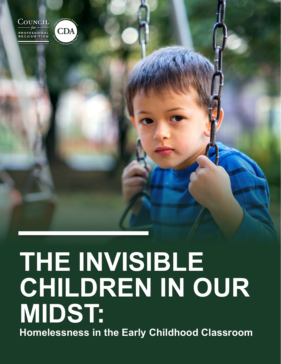

CDA

# **THE INVISIBLE THE INVISIBLE CHILDREN IN OUR CHILDREN IN OUR MIDST: MIDST: Homelessness in the Early Childhood Classroom Homelessness in the Early Childhood Classroom**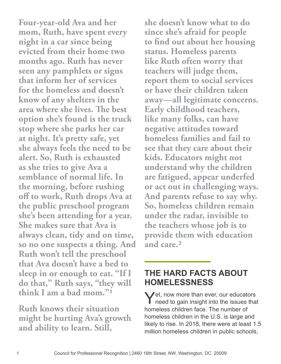**Four-year-old Ava and her mom, Ruth, have spent every night in a car since being evicted from their home two months ago. Ruth has never seen any pamphlets or signs that inform her of services for the homeless and doesn't know of any shelters in the area where she lives. The best option she's found is the truck stop where she parks her car at night. It's pretty safe, yet she always feels the need to be alert. So, Ruth is exhausted as she tries to give Ava a semblance of normal life. In the morning, before rushing off to work, Ruth drops Ava at the public preschool program she's been attending for a year. She makes sure that Ava is always clean, tidy and on time, so no one suspects a thing. And Ruth won't tell the preschool that Ava doesn't have a bed to sleep in or enough to eat. "If I do that," Ruth says, "they will think I am a bad mom."1**

**Ruth knows their situation might be hurting Ava's growth and ability to learn. Still,** 

**she doesn't know what to do since she's afraid for people to find out about her housing status. Homeless parents like Ruth often worry that teachers will judge them, report them to social services or have their children taken away—all legitimate concerns. Early childhood teachers, like many folks, can have negative attitudes toward homeless families and fail to see that they care about their kids. Educators might not understand why the children are fatigued, appear underfed or act out in challenging ways. And parents refuse to say why. So, homeless children remain under the radar, invisible to the teachers whose job is to provide them with education and care.2**

#### **THE HARD FACTS ABOUT HOMELESSNESS**

Yet, now more than ever, our educators<br>
need to gain insight into the issues that homeless children face. The number of homeless children in the U.S. is large and likely to rise. In 2018, there were at least 1.5 million homeless children in public schools,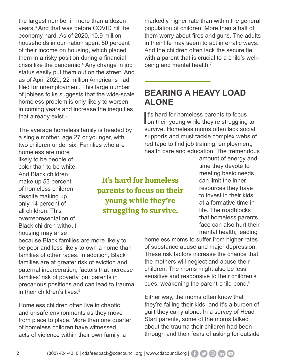the largest number in more than a dozen years.<sup>3</sup> And that was before COVID hit the economy hard. As of 2020, 10.9 million households in our nation spent 50 percent of their income on housing, which placed them in a risky position during a financial crisis like the pandemic.4 Any change in job status easily put them out on the street. And as of April 2020, 22 million Americans had filed for unemployment. This large number of jobless folks suggests that the wide-scale homeless problem is only likely to worsen in coming years and increase the inequities that already exist.<sup>5</sup>

The average homeless family is headed by a single mother, age 27 or younger, with two children under six. Families who are homeless are more likely to be people of color than to be white. And Black children make up 53 percent of homeless children despite making up only 14 percent of all children. This overrepresentation of Black children without housing may arise

**It's hard for homeless parents to focus on their young while they're struggling to survive.** 

because Black families are more likely to be poor and less likely to own a home than families of other races. In addition, Black families are at greater risk of eviction and paternal incarceration, factors that increase families' risk of poverty, put parents in precarious positions and can lead to trauma in their children's lives.<sup>6</sup>

Homeless children often live in chaotic and unsafe environments as they move from place to place. More than one quarter of homeless children have witnessed acts of violence within their own family, a

markedly higher rate than within the general population of children. More than a half of them worry about fires and guns. The adults in their life may seem to act in erratic ways. And the children often lack the secure tie with a parent that is crucial to a child's wellbeing and mental health.<sup>7</sup>

### **BEARING A HEAVY LOAD ALONE**

It's hard for homeless parents to focus<br>on their young while they're struggling to It's hard for homeless parents to focus survive. Homeless moms often lack social supports and must tackle complex webs of red tape to find job training, employment, health care and education. The tremendous

> amount of energy and time they devote to meeting basic needs can limit the inner resources they have to invest in their kids at a formative time in life. The roadblocks that homeless parents face can also hurt their mental health, leading

homeless moms to suffer from higher rates of substance abuse and major depression. These risk factors increase the chance that the mothers will neglect and abuse their children. The moms might also be less sensitive and responsive to their children's cues, weakening the parent-child bond.8

Either way, the moms often know that they're failing their kids, and it's a burden of guilt they carry alone. In a survey of Head Start parents, some of the moms talked about the trauma their children had been through and their fears of asking for outside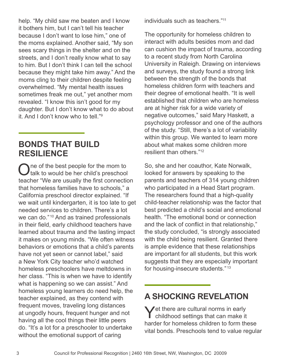help. "My child saw me beaten and I know it bothers him, but I can't tell his teacher because I don't want to lose him," one of the moms explained. Another said, "My son sees scary things in the shelter and on the streets, and I don't really know what to say to him. But I don't think I can tell the school because they might take him away." And the moms cling to their children despite feeling overwhelmed. "My mental health issues sometimes freak me out," yet another mom revealed. "I know this isn't good for my daughter. But I don't know what to do about it. And I don't know who to tell."9

#### **BONDS THAT BUILD RESILIENCE**

One of the best people for the mom to<br>talk to would be her child's preschool teacher "We are usually the first connection that homeless families have to schools," a California preschool director explained. "If we wait until kindergarten, it is too late to get needed services to children. There's a lot we can do."<sup>10</sup> And as trained professionals in their field, early childhood teachers have learned about trauma and the lasting impact it makes on young minds. "We often witness behaviors or emotions that a child's parents have not yet seen or cannot label," said a New York City teacher who'd watched homeless preschoolers have meltdowns in her class. "This is when we have to identify what is happening so we can assist." And homeless young learners do need help, the teacher explained, as they contend with frequent moves, traveling long distances at ungodly hours, frequent hunger and not having all the cool things their little peers do. "It's a lot for a preschooler to undertake without the emotional support of caring

individuals such as teachers."11

The opportunity for homeless children to interact with adults besides mom and dad can cushion the impact of trauma, according to a recent study from North Carolina University in Raleigh. Drawing on interviews and surveys, the study found a strong link between the strength of the bonds that homeless children form with teachers and their degree of emotional health. "It is well established that children who are homeless are at higher risk for a wide variety of negative outcomes," said Mary Haskett, a psychology professor and one of the authors of the study. "Still, there's a lot of variability within this group. We wanted to learn more about what makes some children more resilient than others."12

So, she and her coauthor, Kate Norwalk, looked for answers by speaking to the parents and teachers of 314 young children who participated in a Head Start program. The researchers found that a high-quality child-teacher relationship was the factor that best predicted a child's social and emotional health. "The emotional bond or connection and the lack of conflict in that relationship," the study concluded, "is strongly associated with the child being resilient. Granted there is ample evidence that these relationships are important for all students, but this work suggests that they are especially important for housing-insecure students." <sup>13</sup>

## **A SHOCKING REVELATION**

Yet there are cultural norms in early childhood settings that can make it harder for homeless children to form these vital bonds. Preschools tend to value regular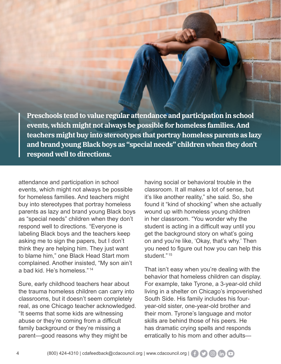**Preschools tend to value regular attendance and participation in school events, which might not always be possible for homeless families. And teachers might buy into stereotypes that portray homeless parents as lazy and brand young Black boys as "special needs" children when they don't respond well to directions.** 

attendance and participation in school events, which might not always be possible for homeless families. And teachers might buy into stereotypes that portray homeless parents as lazy and brand young Black boys as "special needs" children when they don't respond well to directions. "Everyone is labeling Black boys and the teachers keep asking me to sign the papers, but I don't think they are helping him. They just want to blame him," one Black Head Start mom complained. Another insisted, "My son ain't a bad kid. He's homeless." <sup>14</sup>

Sure, early childhood teachers hear about the trauma homeless children can carry into classrooms, but it doesn't seem completely real, as one Chicago teacher acknowledged. "It seems that some kids are witnessing abuse or they're coming from a difficult family background or they're missing a parent—good reasons why they might be

having social or behavioral trouble in the classroom. It all makes a lot of sense, but it's like another reality," she said. So, she found it "kind of shocking" when she actually wound up with homeless young children in her classroom. "You wonder why the student is acting in a difficult way until you get the background story on what's going on and you're like, 'Okay, that's why.' Then you need to figure out how you can help this student." <sup>15</sup>

That isn't easy when you're dealing with the behavior that homeless children can display. For example, take Tyrone, a 3-year-old child living in a shelter on Chicago's impoverished South Side. His family includes his fouryear-old sister, one-year-old brother and their mom. Tyrone's language and motor skills are behind those of his peers. He has dramatic crying spells and responds erratically to his mom and other adults—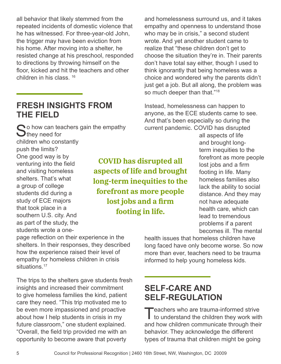all behavior that likely stemmed from the repeated incidents of domestic violence that he has witnessed. For three-year-old John, the trigger may have been eviction from his home. After moving into a shelter, he resisted change at his preschool, responded to directions by throwing himself on the floor, kicked and hit the teachers and other children in his class. 16

#### **FRESH INSIGHTS FROM THE FIELD**

 $\bigcirc$  o how can teachers gain the empathy  $\bigcup$  they need for children who constantly push the limits? One good way is by venturing into the field and visiting homeless shelters. That's what a group of college students did during a study of ECE majors that took place in a southern U.S. city. And as part of the study, the students wrote a one-

**COVID has disrupted all aspects of life and brought long-term inequities to the forefront as more people lost jobs and a firm footing in life.**

and homelessness surround us, and it takes empathy and openness to understand those who may be in crisis," a second student wrote. And yet another student came to realize that "these children don't get to choose the situation they're in. Their parents don't have total say either, though I used to think ignorantly that being homeless was a choice and wondered why the parents didn't just get a job. But all along, the problem was so much deeper than that."<sup>18</sup>

Instead, homelessness can happen to anyone, as the ECE students came to see. And that's been especially so during the current pandemic. COVID has disrupted

all aspects of life and brought longterm inequities to the forefront as more people lost jobs and a firm footing in life. Many homeless families also lack the ability to social distance. And they may not have adequate health care, which can lead to tremendous problems if a parent becomes ill. The mental

health issues that homeless children have long faced have only become worse. So now more than ever, teachers need to be trauma informed to help young homeless kids.

## 5 Council for Professional Recognition | 2460 16th Street, NW, Washington, DC 20009

page reflection on their experience in the shelters. In their responses, they described how the experience raised their level of empathy for homeless children in crisis situations.<sup>17</sup>

The trips to the shelters gave students fresh insights and increased their commitment to give homeless families the kind, patient care they need. "This trip motivated me to be even more impassioned and proactive about how I help students in crisis in my future classroom," one student explained. "Overall, the field trip provided me with an opportunity to become aware that poverty

**SELF-CARE AND SELF-REGULATION** 

Teachers who are trauma-informed strive<br>to understand the children they work with and how children communicate through their behavior. They acknowledge the different types of trauma that children might be going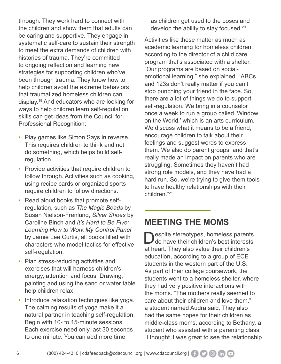through. They work hard to connect with the children and show them that adults can be caring and supportive. They engage in systematic self-care to sustain their strength to meet the extra demands of children with histories of trauma. They're committed to ongoing reflection and learning new strategies for supporting children who've been through trauma. They know how to help children avoid the extreme behaviors that traumatized homeless children can display.19 And educators who are looking for ways to help children learn self-regulation skills can get ideas from the Council for Professional Recognition:

- Play games like Simon Says in reverse. This requires children to think and not do something, which helps build selfregulation.
- Provide activities that require children to follow through. Activities such as cooking, using recipe cards or organized sports require children to follow directions.
- Read aloud books that promote selfregulation, such as *The Magic Beads* by Susan Nielson-Frenlund, *Silver Shoes* by Caroline Binch and *It's Hard to Be Five: Learning How to Work My Control Panel* by Jamie Lee Curtis, all books filled with characters who model tactics for effective self-regulation.
- Plan stress-reducing activities and exercises that will harness children's energy, attention and focus. Drawing, painting and using the sand or water table help children relax.
- Introduce relaxation techniques like yoga. The calming results of yoga make it a natural partner in teaching self-regulation. Begin with 10- to 15-minute sessions. Each exercise need only last 30 seconds to one minute. You can add more time

as children get used to the poses and develop the ability to stay focused.<sup>20</sup>

Activities like these matter as much as academic learning for homeless children, according to the director of a child care program that's associated with a shelter. "Our programs are based on socialemotional learning," she explained. "ABCs and 123s don't really matter if you can't stop punching your friend in the face. So, there are a lot of things we do to support self-regulation. We bring in a counselor once a week to run a group called 'Window on the World,' which is an arts curriculum. We discuss what it means to be a friend. encourage children to talk about their feelings and suggest words to express them. We also do parent groups, and that's really made an impact on parents who are struggling. Sometimes they haven't had strong role models, and they have had a hard run. So, we're trying to give them tools to have healthy relationships with their children."21

#### **MEETING THE MOMS**

espite stereotypes, homeless parents do have their children's best interests at heart. They also value their children's education, according to a group of ECE students in the western part of the U.S. As part of their college coursework, the students went to a homeless shelter, where they had very positive interactions with the moms. "The mothers really seemed to care about their children and love them," a student named Audra said. They also had the same hopes for their children as middle-class moms, according to Bethany, a student who assisted with a parenting class. "I thought it was great to see the relationship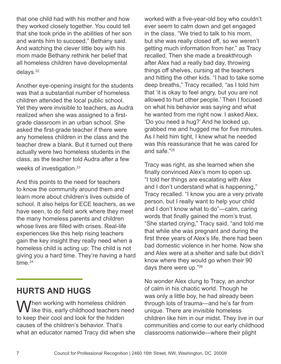that one child had with his mother and how they worked closely together. You could tell that she took pride in the abilities of her son and wants him to succeed," Bethany said. And watching the clever little boy with his mom made Bethany rethink her belief that all homeless children have developmental delays.<sup>22</sup>

Another eye-opening insight for the students was that a substantial number of homeless children attended the local public school. Yet they were invisible to teachers, as Audra realized when she was assigned to a firstgrade classroom in an urban school. She asked the first-grade teacher if there were any homeless children in the class and the teacher drew a blank. But it turned out there actually were two homeless students in the class, as the teacher told Audra after a few weeks of investigation.<sup>23</sup>

And this points to the need for teachers to know the community around them and learn more about children's lives outside of school. It also helps for ECE teachers, as we have seen, to do field work where they meet the many homeless parents and children whose lives are filled with crises. Real-life experiences like this help rising teachers gain the key insight they really need when a homeless child is acting up: The child is not giving you a hard time. They're having a hard time.<sup>24</sup>

## **HURTS AND HUGS**

When working with homeless children  **like this, early childhood teachers need** to keep their cool and look for the hidden causes of the children's behavior. That's what an educator named Tracy did when she worked with a five-year-old boy who couldn't ever seem to calm down and get engaged in the class. "We tried to talk to his mom, but she was really closed off, so we weren't getting much information from her," as Tracy recalled. Then she made a breakthrough after Alex had a really bad day, throwing things off shelves, cursing at the teachers and hitting the other kids. "I had to take some deep breaths," Tracy recalled, "as I told him that 'it is okay to feel angry, but you are not allowed to hurt other people.' Then I focused on what his behavior was saying and what he wanted from me right now. I asked Alex, 'Do you need a hug?' And he looked up, grabbed me and hugged me for five minutes. As I held him tight, I knew what he needed was this reassurance that he was cared for and safe."25

Tracy was right, as she learned when she finally convinced Alex's mom to open up. "I told her things are escalating with Alex and I don't understand what is happening," Tracy recalled. "I know you are a very private person, but I really want to help your child and I don't know what to do"—calm, caring words that finally gained the mom's trust. "She started crying," Tracy said, "and told me that while she was pregnant and during the first three years of Alex's life, there had been bad domestic violence in her home. Now she and Alex were at a shelter and safe but didn't know where they would go when their 90 days there were up."26

No wonder Alex clung to Tracy, an anchor of calm in his chaotic world. Though he was only a little boy, he had already been through lots of trauma—and he's far from unique. There are invisible homeless children like him in our midst. They live in our communities and come to our early childhood classrooms nationwide—where their plight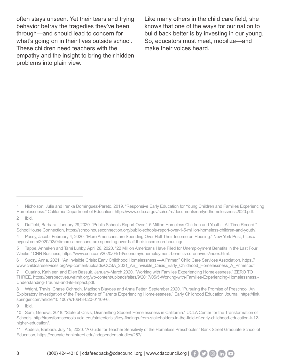often stays unseen. Yet their tears and trying behavior betray the tragedies they've been through—and should lead to concern for what's going on in their lives outside school. These children need teachers with the empathy and the insight to bring their hidden problems into plain view.

Like many others in the child care field, she knows that one of the ways for our nation to build back better is by investing in our young. So, educators must meet, mobilize—and make their voices heard.

5 Tappe, Anneken and Tami Luhby. April 26, 2020. "22 Million Americans Have Filed for Unemployment Benefits in the Last Four Weeks." CNN Business, https://www.cnn.com/2020/04/16/economy/unemployment-benefits-coronavirus/index.html.

6 Sucsy, Anna. 2021. "An Invisible Crisis: Early Childhood Homelessness —A Primer." Child Care Services Association, https:// www.childcareservices.org/wp-content/uploads/CCSA\_2021\_An\_Invisible\_Crisis\_Early\_Childhood\_Homelessness\_A\_Primer.pdf.

7 Guarino, Kathleen and Ellen Bassuk. January-March 2020. "Working with Families Experiencing Homelessness." ZERO TO THREE, https://perspectives.waimh.org/wp-content/uploads/sites/9/2017/05/5-Working-with-Families-Experiencing-Homelessness.- Understanding-Trauma-and-its-Impact.pdf.

8 Wright, Travis, Chase Ochrach, Madison Blaydes and Anna Fetter. September 2020. "Pursuing the Promise of Preschool: An Exploratory Investigation of the Perceptions of Parents Experiencing Homelessness." Early Childhood Education Journal, https://link. springer.com/article/10.1007/s10643-020-01109-6.

9 Ibid.

<sup>1</sup> Nicholson, Julie and Irenka Domínguez-Pareto. 2019. "Responsive Early Education for Young Children and Families Experiencing Homelessness." California Department of Education, https://www.cde.ca.gov/sp/cd/re/documents/earlyedhomelessness2020.pdf. 2 Ibid.

<sup>3</sup> Duffield, Barbara. January 29,2020. "Public Schools Report Over 1.5 Million Homeless Children and Youth—All Time Record." SchoolHouse Connection, https://schoolhouseconnection.org/public-schools-report-over-1-5-million-homeless-children-and-youth/.

<sup>4</sup> Passy, Jacob. February 4, 2020. "More Americans are Spending Over Half Their Income on Housing." New York Post, https:// nypost.com/2020/02/04/more-americans-are-spending-over-half-their-income-on-housing/.

<sup>10</sup> Sum, Geneva. 2018. "State of Crisis; Dismantling Student Homelessness in California." UCLA Center for the Transformation of Schools, http://transformschools.ucla.edu/stateofcrisis/key-findings-from-stakeholders-in-the-field-of-early-childhood-education-k-12 higher-education/.

<sup>11</sup> Abdella, Barbara. July 15, 2020. "A Guide for Teacher Sensitivity of the Homeless Preschooler." Bank Street Graduate School of Education, https://educate.bankstreet.edu/independent-studies/257/.